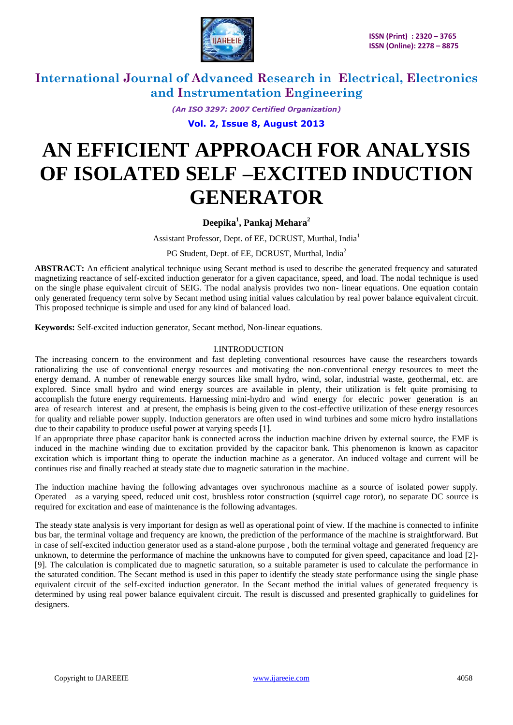

*(An ISO 3297: 2007 Certified Organization)*

**Vol. 2, Issue 8, August 2013**

# **AN EFFICIENT APPROACH FOR ANALYSIS OF ISOLATED SELF –EXCITED INDUCTION GENERATOR**

### **Deepika<sup>1</sup> , Pankaj Mehara<sup>2</sup>**

Assistant Professor, Dept. of EE, DCRUST, Murthal, India<sup>1</sup>

PG Student, Dept. of EE, DCRUST, Murthal, India<sup>2</sup>

**ABSTRACT:** An efficient analytical technique using Secant method is used to describe the generated frequency and saturated magnetizing reactance of self-excited induction generator for a given capacitance, speed, and load. The nodal technique is used on the single phase equivalent circuit of SEIG. The nodal analysis provides two non- linear equations. One equation contain only generated frequency term solve by Secant method using initial values calculation by real power balance equivalent circuit. This proposed technique is simple and used for any kind of balanced load.

**Keywords:** Self-excited induction generator, Secant method, Non-linear equations.

#### I.INTRODUCTION

The increasing concern to the environment and fast depleting conventional resources have cause the researchers towards rationalizing the use of conventional energy resources and motivating the non-conventional energy resources to meet the energy demand. A number of renewable energy sources like small hydro, wind, solar, industrial waste, geothermal, etc. are explored. Since small hydro and wind energy sources are available in plenty, their utilization is felt quite promising to accomplish the future energy requirements. Harnessing mini-hydro and wind energy for electric power generation is an area of research interest and at present, the emphasis is being given to the cost-effective utilization of these energy resources for quality and reliable power supply. Induction generators are often used in wind turbines and some micro hydro installations due to their capability to produce useful power at varying speeds [1].

If an appropriate three phase capacitor bank is connected across the induction machine driven by external source, the EMF is induced in the machine winding due to excitation provided by the capacitor bank. This phenomenon is known as capacitor excitation which is important thing to operate the induction machine as a generator. An induced voltage and current will be continues rise and finally reached at steady state due to magnetic saturation in the machine.

The induction machine having the following advantages over synchronous machine as a source of isolated power supply. Operated as a varying speed, reduced unit cost, brushless rotor construction (squirrel cage rotor), no separate DC source is required for excitation and ease of maintenance is the following advantages.

The steady state analysis is very important for design as well as operational point of view. If the machine is connected to infinite bus bar, the terminal voltage and frequency are known, the prediction of the performance of the machine is straightforward. But in case of self-excited induction generator used as a stand-alone purpose , both the terminal voltage and generated frequency are unknown, to determine the performance of machine the unknowns have to computed for given speed, capacitance and load [2]- [9]. The calculation is complicated due to magnetic saturation, so a suitable parameter is used to calculate the performance in the saturated condition. The Secant method is used in this paper to identify the steady state performance using the single phase equivalent circuit of the self-excited induction generator. In the Secant method the initial values of generated frequency is determined by using real power balance equivalent circuit. The result is discussed and presented graphically to guidelines for designers.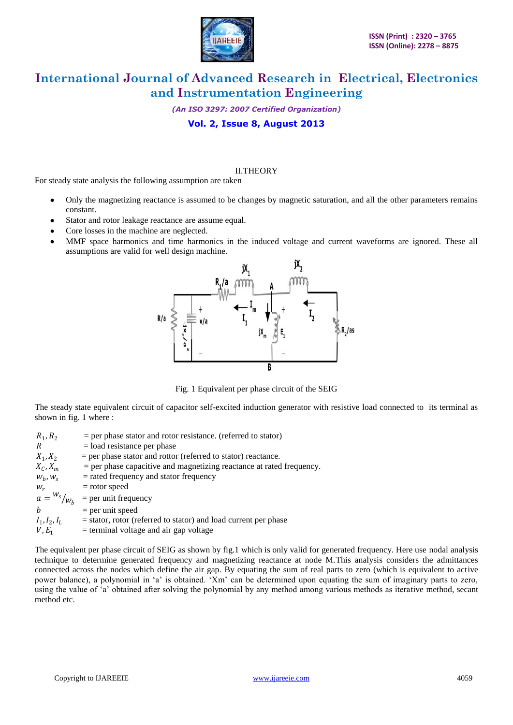

*(An ISO 3297: 2007 Certified Organization)*

**Vol. 2, Issue 8, August 2013**

#### II.THEORY

For steady state analysis the following assumption are taken

- Only the magnetizing reactance is assumed to be changes by magnetic saturation, and all the other parameters remains constant.
- Stator and rotor leakage reactance are assume equal.
- Core losses in the machine are neglected.
- MMF space harmonics and time harmonics in the induced voltage and current waveforms are ignored. These all assumptions are valid for well design machine.



Fig. 1 Equivalent per phase circuit of the SEIG

The steady state equivalent circuit of capacitor self-excited induction generator with resistive load connected to its terminal as shown in fig. 1 where :

| $R_1, R_2$            | $=$ per phase stator and rotor resistance. (referred to stator)        |
|-----------------------|------------------------------------------------------------------------|
| R                     | $=$ load resistance per phase                                          |
| $X_1, X_2$            | $=$ per phase stator and rottor (referred to stator) reactance.        |
| $X_C, X_m$            | $=$ per phase capacitive and magnetizing reactance at rated frequency. |
| $W_h$ , $W_s$         | $=$ rated frequency and stator frequency                               |
| $W_r$                 | $=$ rotor speed                                                        |
| $a = \frac{W_s}{W_h}$ | $=$ per unit frequency                                                 |
| h                     | $=$ per unit speed                                                     |
| $I_1, I_2, I_L$       | $=$ stator, rotor (referred to stator) and load current per phase      |
| $V, E_1$              | $=$ terminal voltage and air gap voltage                               |

The equivalent per phase circuit of SEIG as shown by fig.1 which is only valid for generated frequency. Here use nodal analysis technique to determine generated frequency and magnetizing reactance at node M.This analysis considers the admittances connected across the nodes which define the air gap. By equating the sum of real parts to zero (which is equivalent to active power balance), a polynomial in 'a' is obtained. 'Xm' can be determined upon equating the sum of imaginary parts to zero, using the value of "a" obtained after solving the polynomial by any method among various methods as iterative method, secant method etc.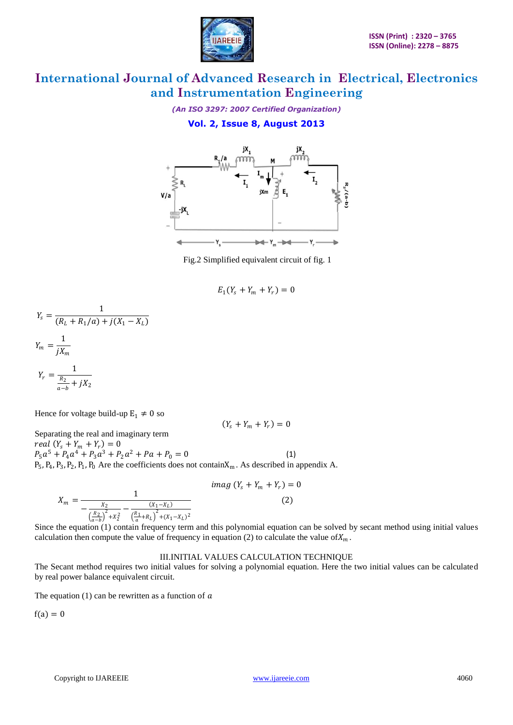

*(An ISO 3297: 2007 Certified Organization)*

### **Vol. 2, Issue 8, August 2013**



Fig.2 Simplified equivalent circuit of fig. 1

$$
E_1(Y_s+Y_m+Y_r)=0
$$

$$
Y_s = \frac{1}{(R_L + R_1/a) + j(X_1 - X_L)}
$$
  
\n
$$
Y_m = \frac{1}{jX_m}
$$
  
\n
$$
Y_r = \frac{1}{\frac{R_2}{a - b} + jX_2}
$$

Hence for voltage build-up  $E_1 \neq 0$  so

 $(Y_s + Y_m + Y_r) = 0$ Separating the real and imaginary term  $real(Y_s + Y_m + Y_r) = 0$  $P_5a^5 + P_4a^4 + P_3a^3 + P_2a^2 + Pa + P_0 = 0$  (1)  $P_5$ ,  $P_4$ ,  $P_3$ ,  $P_2$ ,  $P_1$ ,  $P_0$  Are the coefficients does not contain $X_m$ . As described in appendix A.

$$
X_m = \frac{1}{-\frac{X_2}{\left(\frac{R_2}{a-b}\right)^2 + X_2^2} - \frac{(X_1 - X_L)}{\left(\frac{R_1}{a} + R_L\right)^2 + (X_1 - X_L)^2}}
$$
 (2)

Since the equation (1) contain frequency term and this polynomial equation can be solved by secant method using initial values calculation then compute the value of frequency in equation (2) to calculate the value of  $X_m$ .

#### III.INITIAL VALUES CALCULATION TECHNIQUE

The Secant method requires two initial values for solving a polynomial equation. Here the two initial values can be calculated by real power balance equivalent circuit.

The equation (1) can be rewritten as a function of  $\alpha$ 

 $f(a) = 0$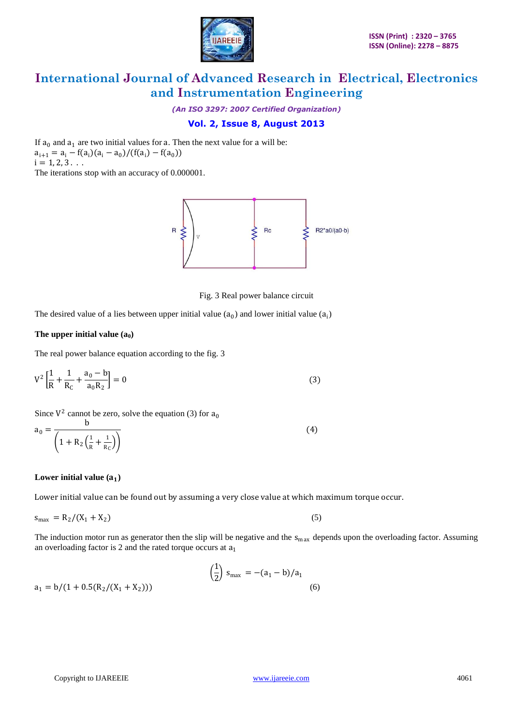

*(An ISO 3297: 2007 Certified Organization)*

### **Vol. 2, Issue 8, August 2013**

If  $a_0$  and  $a_1$  are two initial values for a. Then the next value for a will be:  $a_{i+1} = a_i - f(a_i)(a_i - a_0)/(f(a_i) - f(a_0))$  $i = 1, 2, 3...$ 

The iterations stop with an accuracy of 0.000001.



Fig. 3 Real power balance circuit

The desired value of a lies between upper initial value  $(a_0)$  and lower initial value  $(a_i)$ 

#### The upper initial value  $(a_0)$

The real power balance equation according to the fig. 3

$$
V^{2}\left[\frac{1}{R} + \frac{1}{R_{C}} + \frac{a_{0} - b}{a_{0}R_{2}}\right] = 0
$$
\n(3)

Since  $V^2$  cannot be zero, solve the equation (3) for  $a_0$ 

$$
a_0 = \frac{b}{\left(1 + R_2 \left(\frac{1}{R} + \frac{1}{R_C}\right)\right)}
$$
(4)

#### Lower initial value  $(a_1)$

Lower initial value can be found out by assuming a very close value at which maximum torque occur.

$$
\mathbf{s}_{\text{max}} = \mathbf{R}_2 / (\mathbf{X}_1 + \mathbf{X}_2) \tag{5}
$$

The induction motor run as generator then the slip will be negative and the  $s_{max}$  depends upon the overloading factor. Assuming an overloading factor is 2 and the rated torque occurs at  $a_1$ 

$$
\left(\frac{1}{2}\right) s_{\max} = -(a_1 - b)/a_1
$$
  
 
$$
a_1 = b/(1 + 0.5(R_2/(X_1 + X_2)))
$$
 (6)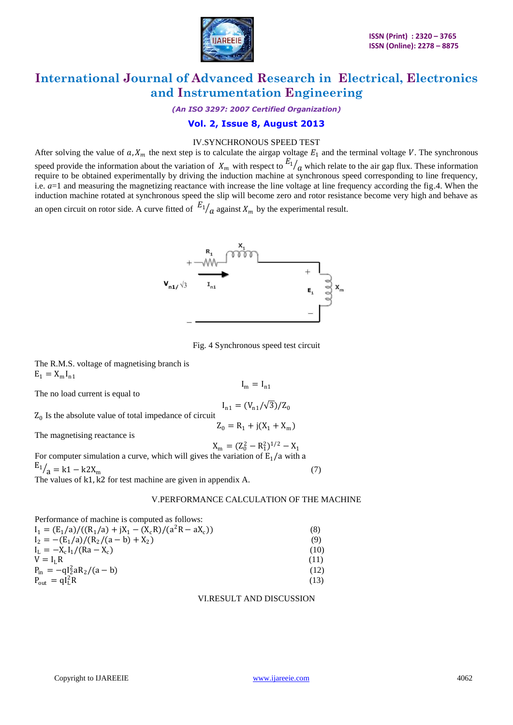

*(An ISO 3297: 2007 Certified Organization)*

### **Vol. 2, Issue 8, August 2013**

### IV.SYNCHRONOUS SPEED TEST

After solving the value of  $a$ ,  $X_m$  the next step is to calculate the airgap voltage  $E_1$  and the terminal voltage V. The synchronous speed provide the information about the variation of  $X_m$  with respect to  $E_1/a$  which relate to the air gap flux. These information require to be obtained experimentally by driving the induction machine at synchronous speed corresponding to line frequency, i.e. *a*=1 and measuring the magnetizing reactance with increase the line voltage at line frequency according the fig.4. When the induction machine rotated at synchronous speed the slip will become zero and rotor resistance become very high and behave as an open circuit on rotor side. A curve fitted of  $E_1/\overline{a}$  against  $X_m$  by the experimental result.



Fig. 4 Synchronous speed test circuit

 $I_m = I_{n1}$ 

 $I_{n1} = (V_{n1}/\sqrt{3})/Z_0$ 

 $Z_0 = R_1 + j(X_1 + X_m)$ 

The R.M.S. voltage of magnetising branch is  $E_1 = X_m I_{n1}$ 

The no load current is equal to

 $Z_0$  Is the absolute value of total impedance of circuit

The magnetising reactance is

 $X_m = (Z_0^2 - R_1^2)^{1/2} - X_1$ For computer simulation a curve, which will gives the variation of  $E_1/a$  with a  $E_1 / a = k1 - k2X_m$  (7) The values of k1, k2 for test machine are given in appendix A.

#### V.PERFORMANCE CALCULATION OF THE MACHINE

| Performance of machine is computed as follows:            |      |
|-----------------------------------------------------------|------|
| $I_1 = (E_1/a)/((R_1/a) + jX_1 - (X_c R)/(a^2 R - aX_c))$ | (8)  |
| $I_2 = -(E_1/a)/(R_2/(a-b) + X_2)$                        | (9)  |
| $I_L = -X_c I_1 / (Ra - X_c)$                             | (10) |
| $V = I_1 R$                                               | (11) |
| $P_{in} = -qI_2^2aR_2/(a-b)$                              | (12) |
| $P_{\text{out}} = qI_{\text{L}}^2R$                       | (13) |

VI.RESULT AND DISCUSSION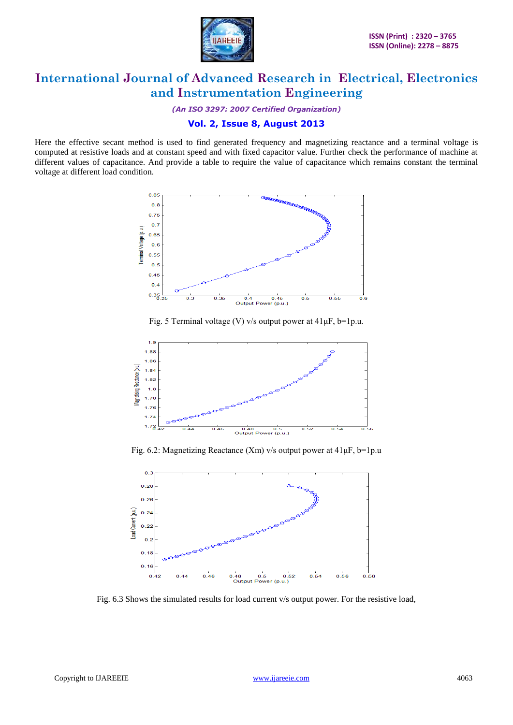

*(An ISO 3297: 2007 Certified Organization)*

### **Vol. 2, Issue 8, August 2013**

Here the effective secant method is used to find generated frequency and magnetizing reactance and a terminal voltage is computed at resistive loads and at constant speed and with fixed capacitor value. Further check the performance of machine at different values of capacitance. And provide a table to require the value of capacitance which remains constant the terminal voltage at different load condition.



Fig. 5 Terminal voltage (V) v/s output power at  $41 \mu$ F, b=1p.u.



Fig. 6.2: Magnetizing Reactance (Xm) v/s output power at  $41 \mu$ F, b=1p.u



Fig. 6.3 Shows the simulated results for load current v/s output power. For the resistive load,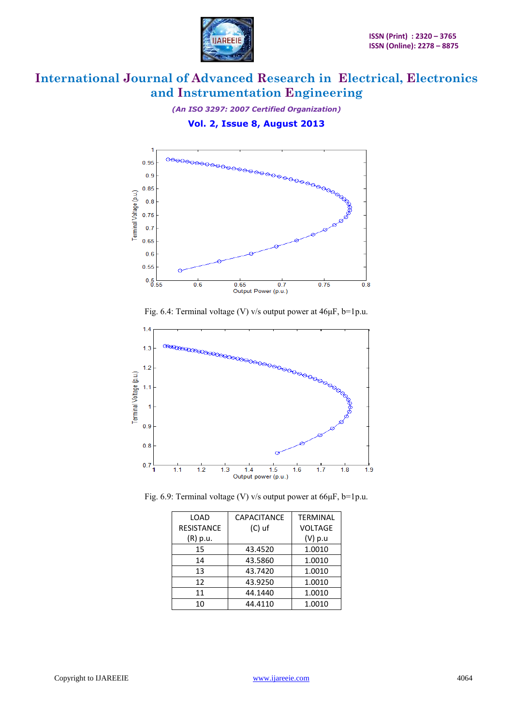

*(An ISO 3297: 2007 Certified Organization)*

**Vol. 2, Issue 8, August 2013**









| LOAD              | <b>CAPACITANCE</b> | <b>TERMINAL</b> |
|-------------------|--------------------|-----------------|
| <b>RESISTANCE</b> | $(C)$ uf           | <b>VOLTAGE</b>  |
| (R) p.u.          |                    | (V) p.u         |
| 15                | 43.4520            | 1.0010          |
| 14                | 43.5860            | 1.0010          |
| 13                | 43.7420            | 1.0010          |
| 12                | 43.9250            | 1.0010          |
| 11                | 44.1440            | 1.0010          |
| 10                | 44.4110            | 1.0010          |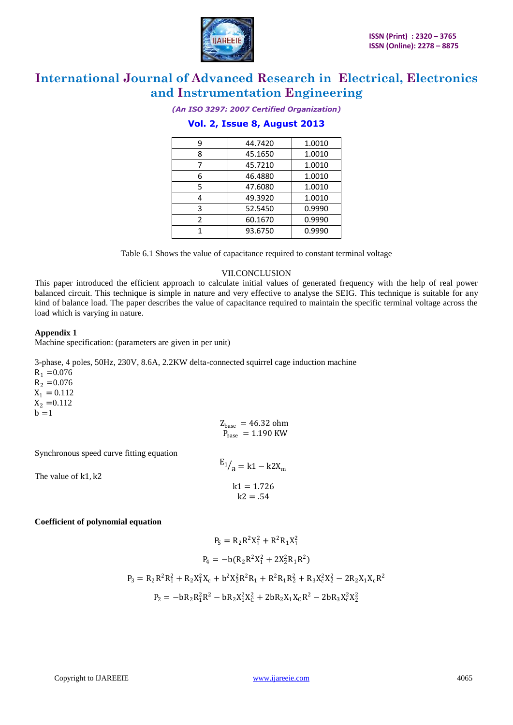

*(An ISO 3297: 2007 Certified Organization)*

### **Vol. 2, Issue 8, August 2013**

| q | 44.7420 | 1.0010 |
|---|---------|--------|
| 8 | 45.1650 | 1.0010 |
|   | 45.7210 | 1.0010 |
| 6 | 46.4880 | 1.0010 |
| 5 | 47.6080 | 1.0010 |
|   | 49.3920 | 1.0010 |
| ς | 52.5450 | 0.9990 |
| 2 | 60.1670 | 0.9990 |
|   | 93.6750 | 0.9990 |
|   |         |        |

Table 6.1 Shows the value of capacitance required to constant terminal voltage

#### VII.CONCLUSION

This paper introduced the efficient approach to calculate initial values of generated frequency with the help of real power balanced circuit. This technique is simple in nature and very effective to analyse the SEIG. This technique is suitable for any kind of balance load. The paper describes the value of capacitance required to maintain the specific terminal voltage across the load which is varying in nature.

#### **Appendix 1**

Machine specification: (parameters are given in per unit)

3-phase, 4 poles, 50Hz, 230V, 8.6A, 2.2KW delta-connected squirrel cage induction machine  $R_1 = 0.076$  $R_2 = 0.076$  $X_1 = 0.112$  $\bar{X_2}$  = 0.112  $b = 1$  $Z_{base}$  = 46.32 ohm

Synchronous speed curve fitting equation

The value of k1, k2

$$
E_1 / a = k1 - k2X_m
$$
  

$$
k1 = 1.726
$$
  

$$
k2 = .54
$$

 $P_{base}$  = 1.190 KW

#### **Coefficient of polynomial equation**

$$
P_5 = R_2 R^2 X_1^2 + R^2 R_1 X_1^2
$$
  
\n
$$
P_4 = -b(R_2 R^2 X_1^2 + 2X_2^2 R_1 R^2)
$$
  
\n
$$
P_3 = R_2 R^2 R_1^2 + R_2 X_1^2 X_c + b^2 X_2^2 R^2 R_1 + R^2 R_1 R_2^2 + R_3 X_c^2 X_2^2 - 2R_2 X_1 X_c R^2
$$
  
\n
$$
P_2 = -bR_2 R_1^2 R^2 - bR_2 X_1^2 X_c^2 + 2bR_2 X_1 X_c R^2 - 2bR_3 X_c^2 X_2^2
$$